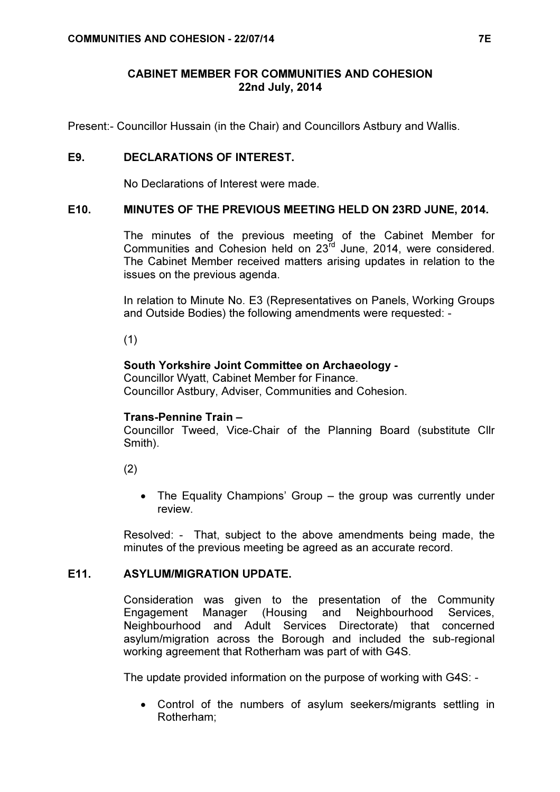## CABINET MEMBER FOR COMMUNITIES AND COHESION 22nd July, 2014

Present:- Councillor Hussain (in the Chair) and Councillors Astbury and Wallis.

### E9. DECLARATIONS OF INTEREST.

No Declarations of Interest were made.

### E10. MINUTES OF THE PREVIOUS MEETING HELD ON 23RD JUNE, 2014.

 The minutes of the previous meeting of the Cabinet Member for Communities and Cohesion held on 23rd June, 2014, were considered. The Cabinet Member received matters arising updates in relation to the issues on the previous agenda.

In relation to Minute No. E3 (Representatives on Panels, Working Groups and Outside Bodies) the following amendments were requested: -

(1)

#### South Yorkshire Joint Committee on Archaeology -

Councillor Wyatt, Cabinet Member for Finance. Councillor Astbury, Adviser, Communities and Cohesion.

#### Trans-Pennine Train –

Councillor Tweed, Vice-Chair of the Planning Board (substitute Cllr Smith).

(2)

• The Equality Champions' Group – the group was currently under review.

Resolved: - That, subject to the above amendments being made, the minutes of the previous meeting be agreed as an accurate record.

#### E11. ASYLUM/MIGRATION UPDATE.

 Consideration was given to the presentation of the Community Engagement Manager (Housing and Neighbourhood Services, Neighbourhood and Adult Services Directorate) that concerned asylum/migration across the Borough and included the sub-regional working agreement that Rotherham was part of with G4S.

The update provided information on the purpose of working with G4S: -

• Control of the numbers of asylum seekers/migrants settling in Rotherham;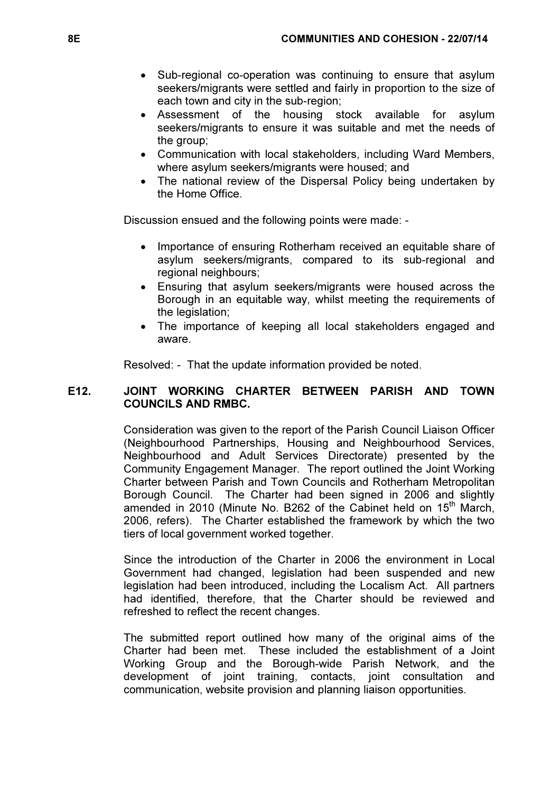- Sub-regional co-operation was continuing to ensure that asylum seekers/migrants were settled and fairly in proportion to the size of each town and city in the sub-region;
- Assessment of the housing stock available for asylum seekers/migrants to ensure it was suitable and met the needs of the group;
- Communication with local stakeholders, including Ward Members, where asylum seekers/migrants were housed; and
- The national review of the Dispersal Policy being undertaken by the Home Office.

Discussion ensued and the following points were made: -

- Importance of ensuring Rotherham received an equitable share of asylum seekers/migrants, compared to its sub-regional and regional neighbours;
- Ensuring that asylum seekers/migrants were housed across the Borough in an equitable way, whilst meeting the requirements of the legislation:
- The importance of keeping all local stakeholders engaged and aware.

Resolved: - That the update information provided be noted.

### E12. JOINT WORKING CHARTER BETWEEN PARISH AND TOWN COUNCILS AND RMBC.

 Consideration was given to the report of the Parish Council Liaison Officer (Neighbourhood Partnerships, Housing and Neighbourhood Services, Neighbourhood and Adult Services Directorate) presented by the Community Engagement Manager. The report outlined the Joint Working Charter between Parish and Town Councils and Rotherham Metropolitan Borough Council. The Charter had been signed in 2006 and slightly amended in 2010 (Minute No. B262 of the Cabinet held on  $15<sup>th</sup>$  March, 2006, refers). The Charter established the framework by which the two tiers of local government worked together.

Since the introduction of the Charter in 2006 the environment in Local Government had changed, legislation had been suspended and new legislation had been introduced, including the Localism Act. All partners had identified, therefore, that the Charter should be reviewed and refreshed to reflect the recent changes.

The submitted report outlined how many of the original aims of the Charter had been met. These included the establishment of a Joint Working Group and the Borough-wide Parish Network, and the development of joint training, contacts, joint consultation and communication, website provision and planning liaison opportunities.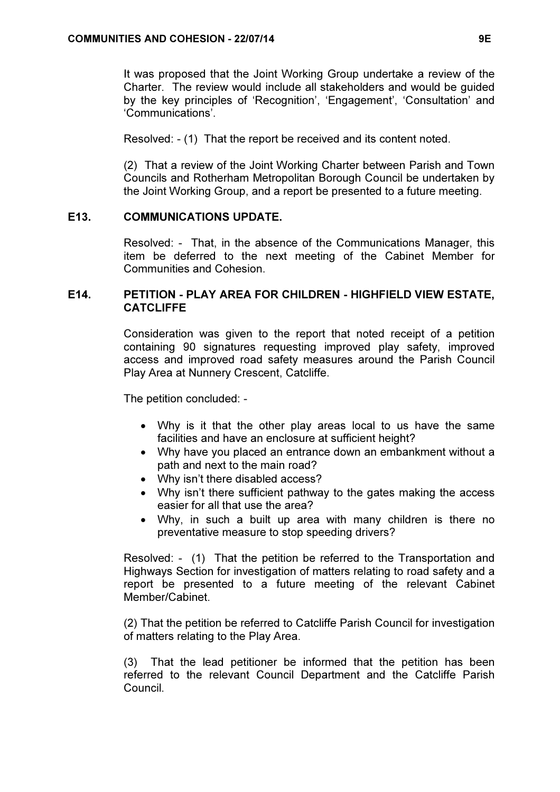It was proposed that the Joint Working Group undertake a review of the Charter. The review would include all stakeholders and would be guided by the key principles of 'Recognition', 'Engagement', 'Consultation' and 'Communications'.

Resolved: - (1) That the report be received and its content noted.

(2) That a review of the Joint Working Charter between Parish and Town Councils and Rotherham Metropolitan Borough Council be undertaken by the Joint Working Group, and a report be presented to a future meeting.

#### E13. COMMUNICATIONS UPDATE.

 Resolved: - That, in the absence of the Communications Manager, this item be deferred to the next meeting of the Cabinet Member for Communities and Cohesion.

## E14. PETITION - PLAY AREA FOR CHILDREN - HIGHFIELD VIEW ESTATE, CATCLIFFE

 Consideration was given to the report that noted receipt of a petition containing 90 signatures requesting improved play safety, improved access and improved road safety measures around the Parish Council Play Area at Nunnery Crescent, Catcliffe.

The petition concluded: -

- Why is it that the other play areas local to us have the same facilities and have an enclosure at sufficient height?
- Why have you placed an entrance down an embankment without a path and next to the main road?
- Why isn't there disabled access?
- Why isn't there sufficient pathway to the gates making the access easier for all that use the area?
- Why, in such a built up area with many children is there no preventative measure to stop speeding drivers?

Resolved: - (1) That the petition be referred to the Transportation and Highways Section for investigation of matters relating to road safety and a report be presented to a future meeting of the relevant Cabinet Member/Cabinet.

(2) That the petition be referred to Catcliffe Parish Council for investigation of matters relating to the Play Area.

(3) That the lead petitioner be informed that the petition has been referred to the relevant Council Department and the Catcliffe Parish Council.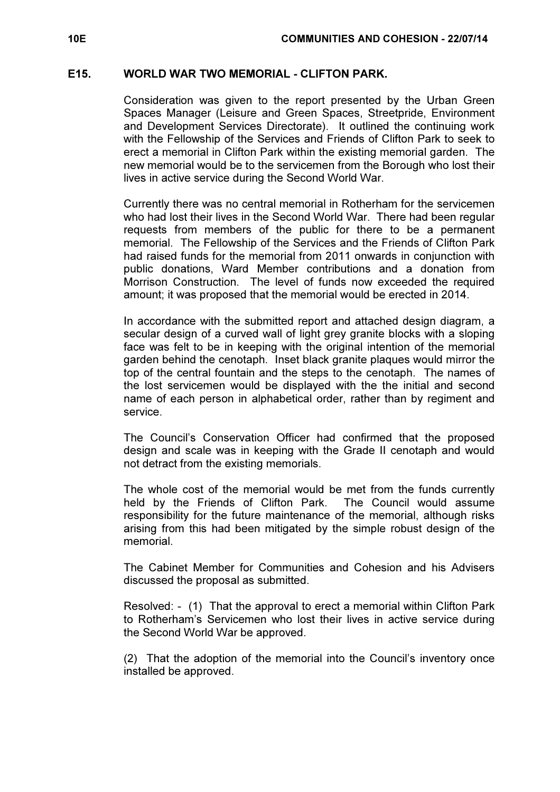#### E15. WORLD WAR TWO MEMORIAL - CLIFTON PARK.

 Consideration was given to the report presented by the Urban Green Spaces Manager (Leisure and Green Spaces, Streetpride, Environment and Development Services Directorate). It outlined the continuing work with the Fellowship of the Services and Friends of Clifton Park to seek to erect a memorial in Clifton Park within the existing memorial garden. The new memorial would be to the servicemen from the Borough who lost their lives in active service during the Second World War.

Currently there was no central memorial in Rotherham for the servicemen who had lost their lives in the Second World War. There had been regular requests from members of the public for there to be a permanent memorial. The Fellowship of the Services and the Friends of Clifton Park had raised funds for the memorial from 2011 onwards in conjunction with public donations, Ward Member contributions and a donation from Morrison Construction. The level of funds now exceeded the required amount; it was proposed that the memorial would be erected in 2014.

In accordance with the submitted report and attached design diagram, a secular design of a curved wall of light grey granite blocks with a sloping face was felt to be in keeping with the original intention of the memorial garden behind the cenotaph. Inset black granite plaques would mirror the top of the central fountain and the steps to the cenotaph. The names of the lost servicemen would be displayed with the the initial and second name of each person in alphabetical order, rather than by regiment and service.

The Council's Conservation Officer had confirmed that the proposed design and scale was in keeping with the Grade II cenotaph and would not detract from the existing memorials.

The whole cost of the memorial would be met from the funds currently held by the Friends of Clifton Park. The Council would assume responsibility for the future maintenance of the memorial, although risks arising from this had been mitigated by the simple robust design of the memorial.

The Cabinet Member for Communities and Cohesion and his Advisers discussed the proposal as submitted.

Resolved: - (1) That the approval to erect a memorial within Clifton Park to Rotherham's Servicemen who lost their lives in active service during the Second World War be approved.

(2) That the adoption of the memorial into the Council's inventory once installed be approved.